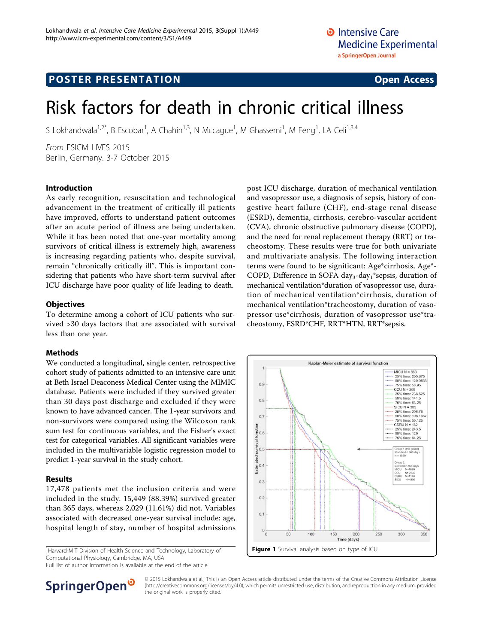### **POSTER PRESENTATION CONSUMING THE SERVICE SERVICE SERVICES**

# Risk factors for death in chronic critical illness

S Lokhandwala<sup>1,2\*</sup>, B Escobar<sup>1</sup>, A Chahin<sup>1,3</sup>, N Mccague<sup>1</sup>, M Ghassemi<sup>1</sup>, M Feng<sup>1</sup>, LA Celi<sup>1,3,4</sup>

From ESICM LIVES 2015 Berlin, Germany. 3-7 October 2015

#### Introduction

As early recognition, resuscitation and technological advancement in the treatment of critically ill patients have improved, efforts to understand patient outcomes after an acute period of illness are being undertaken. While it has been noted that one-year mortality among survivors of critical illness is extremely high, awareness is increasing regarding patients who, despite survival, remain "chronically critically ill". This is important considering that patients who have short-term survival after ICU discharge have poor quality of life leading to death.

#### **Objectives**

To determine among a cohort of ICU patients who survived >30 days factors that are associated with survival less than one year.

#### **Methods**

We conducted a longitudinal, single center, retrospective cohort study of patients admitted to an intensive care unit at Beth Israel Deaconess Medical Center using the MIMIC database. Patients were included if they survived greater than 30 days post discharge and excluded if they were known to have advanced cancer. The 1-year survivors and non-survivors were compared using the Wilcoxon rank sum test for continuous variables, and the Fisher's exact test for categorical variables. All significant variables were included in the multivariable logistic regression model to predict 1-year survival in the study cohort.

#### Results

17,478 patients met the inclusion criteria and were included in the study. 15,449 (88.39%) survived greater than 365 days, whereas 2,029 (11.61%) did not. Variables associated with decreased one-year survival include: age, hospital length of stay, number of hospital admissions

<sup>1</sup>Harvard-MIT Division of Health Science and Technology, Laboratory of Computational Physiology, Cambridge, MA, USA

Full list of author information is available at the end of the article



post ICU discharge, duration of mechanical ventilation and vasopressor use, a diagnosis of sepsis, history of congestive heart failure (CHF), end-stage renal disease (ESRD), dementia, cirrhosis, cerebro-vascular accident (CVA), chronic obstructive pulmonary disease (COPD), and the need for renal replacement therapy (RRT) or tracheostomy. These results were true for both univariate and multivariate analysis. The following interaction terms were found to be significant: Age\*cirrhosis, Age\*- COPD, Difference in SOFA day<sub>3</sub>-day<sub>1</sub>\*sepsis, duration of mechanical ventilation\*duration of vasopressor use, duration of mechanical ventilation\*cirrhosis, duration of mechanical ventilation\*tracheostomy, duration of vasopressor use\*cirrhosis, duration of vasopressor use\*tracheostomy, ESRD\*CHF, RRT\*HTN, RRT\*sepsis.



© 2015 Lokhandwala et al.; This is an Open Access article distributed under the terms of the Creative Commons Attribution License [\(http://creativecommons.org/licenses/by/4.0](http://creativecommons.org/licenses/by/4.0)), which permits unrestricted use, distribution, and reproduction in any medium, provided the original work is properly cited.